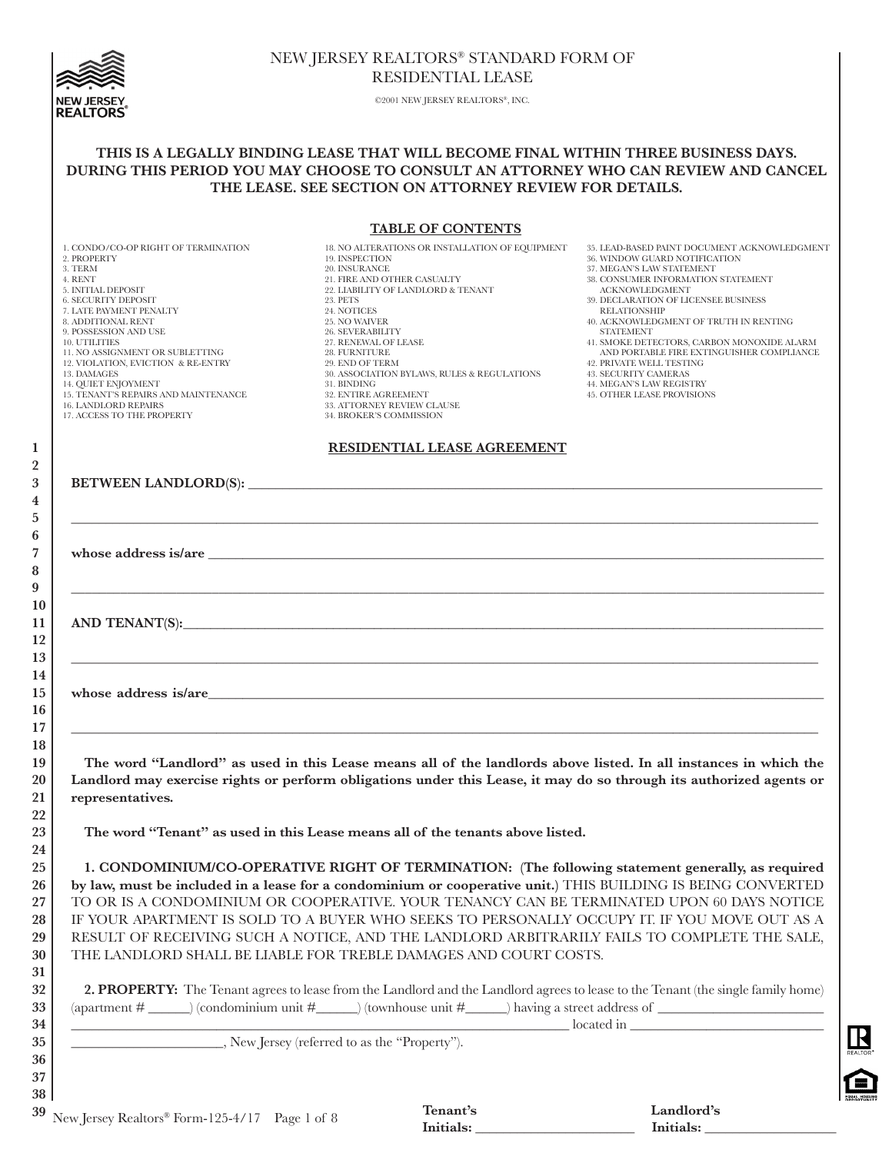

# NEW JERSEY REALTORS® STANDARD FORM OF RESIDENTIAL LEASE

©2001 NEW JERSEY REALTORS®, INC.

## **THIS IS A LEGALLY BINDING LEASE THAT WILL BECOME FINAL WITHIN THREE BUSINESS DAYS. DURING THIS PERIOD YOU MAY CHOOSE TO CONSULT AN ATTORNEY WHO CAN REVIEW AND CANCEL THE LEASE. SEE SECTION ON ATTORNEY REVIEW FOR DETAILS.**

#### **TABLE OF CONTENTS**

1. CONDO/CO-OP RIGHT OF TERMINATION 2. PROPERTY 3. TERM 4. RENT 5. INITIAL DEPOSIT 6. SECURITY DEPOSIT 7. LATE PAYMENT PENALTY 8. ADDITIONAL RENT 9. POSSESSION AND USE 10. UTILITIES 11. NO ASSIGNMENT OR SUBLETTING 12. VIOLATION, EVICTION & RE-ENTRY 13. DAMAGES 14. QUIET ENJOYMENT 15. TENANT'S REPAIRS AND MAINTENANCE 16. LANDLORD REPAIRS

- 
- 

17. ACCESS TO THE PROPERTY

18. NO ALTERATIONS OR INSTALLATION OF EQUIPMENT 19. INSPECTION 20. INSURANCE 21. FIRE AND OTHER CASUALTY 22. LIABILITY OF LANDLORD & TENANT 23. PETS 24. NOTICES 25. NO WAIVER 26. SEVERABILITY 27. RENEWAL OF LEASE 28. FURNITURE 29. END OF TERM 30. ASSOCIATION BYLAWS, RULES & REGULATIONS 31. BINDING 32. ENTIRE AGREEMENT 33. ATTORNEY REVIEW CLAUSE 34. BROKER'S COMMISSION

**RESIDENTIAL LEASE AGREEMENT**

**\_\_\_\_\_\_\_\_\_\_\_\_\_\_\_\_\_\_\_\_\_\_\_\_\_\_\_\_\_\_\_\_\_\_\_\_\_\_\_\_\_\_\_\_\_\_\_\_\_\_\_\_\_\_\_\_\_\_\_\_\_\_\_\_\_\_\_\_\_\_\_\_\_\_\_\_\_\_\_\_\_\_\_\_\_\_\_\_\_\_\_\_\_\_\_\_\_\_\_\_\_\_\_\_\_\_\_\_**

**\_\_\_\_\_\_\_\_\_\_\_\_\_\_\_\_\_\_\_\_\_\_\_\_\_\_\_\_\_\_\_\_\_\_\_\_\_\_\_\_\_\_\_\_\_\_\_\_\_\_\_\_\_\_\_\_\_\_\_\_\_\_\_\_\_\_\_\_\_\_\_\_\_\_\_\_\_\_\_\_\_\_\_\_\_\_\_\_\_\_\_\_\_\_\_\_\_\_\_\_\_\_\_\_\_\_\_** 

**\_\_\_\_\_\_\_\_\_\_\_\_\_\_\_\_\_\_\_\_\_\_\_\_\_\_\_\_\_\_\_\_\_\_\_\_\_\_\_\_\_\_\_\_\_\_\_\_\_\_\_\_\_\_\_\_\_\_\_\_\_\_\_\_\_\_\_\_\_\_\_\_\_\_\_\_\_\_\_\_\_\_\_\_\_\_\_\_\_\_\_\_\_\_\_\_\_\_\_\_\_\_\_\_\_\_\_\_**

35. LEAD-BASED PAINT DOCUMENT ACKNOWLEDGMENT 36. WINDOW GUARD NOTIFICATION

- 37. MEGAN'S LAW STATEMENT
- 38. CONSUMER INFORMATION STATEMENT
- ACKNOWLEDGMENT
- 39. DECLARATION OF LICENSEE BUSINESS RELATIONSHIP
- 40. ACKNOWLEDGMENT OF TRUTH IN RENTING STATEMENT
- 41. SMOKE DETECTORS, CARBON MONOXIDE ALARM AND PORTABLE FIRE EXTINGUISHER COMPLIANCE
- 42. PRIVATE WELL TESTING
- 43. SECURITY CAMERAS
- 44. MEGAN'S LAW REGISTRY 45. OTHER LEASE PROVISIONS
- 

**BETWEEN LANDLORD(S):**  $\blacksquare$ 

whose address is/are

**AND TENANT(S):** 

whose address is/are

**The word "Landlord" as used in this Lease means all of the landlords above listed. In all instances in which the Landlord may exercise rights or perform obligations under this Lease, it may do so through its authorized agents or representatives.**

**\_\_\_\_\_\_\_\_\_\_\_\_\_\_\_\_\_\_\_\_\_\_\_\_\_\_\_\_\_\_\_\_\_\_\_\_\_\_\_\_\_\_\_\_\_\_\_\_\_\_\_\_\_\_\_\_\_\_\_\_\_\_\_\_\_\_\_\_\_\_\_\_\_\_\_\_\_\_\_\_\_\_\_\_\_\_\_\_\_\_\_\_\_\_\_\_\_\_\_\_\_\_\_\_\_\_\_\_** 

**The word "Tenant" as used in this Lease means all of the tenants above listed.**

**1. CONDOMINIUM/CO-OPERATIVE RIGHT OF TERMINATION: (The following statement generally, as required by law, must be included in a lease for a condominium or cooperative unit.)** THIS BUILDING IS BEING CONVERTED TO OR IS A CONDOMINIUM OR COOPERATIVE. YOUR TENANCY CAN BE TERMINATED UPON 60 DAYS NOTICE IF YOUR APARTMENT IS SOLD TO A BUYER WHO SEEKS TO PERSONALLY OCCUPY IT. IF YOU MOVE OUT AS A RESULT OF RECEIVING SUCH A NOTICE, AND THE LANDLORD ARBITRARILY FAILS TO COMPLETE THE SALE, THE LANDLORD SHALL BE LIABLE FOR TREBLE DAMAGES AND COURT COSTS.

**2. PROPERTY:** The Tenant agrees to lease from the Landlord and the Landlord agrees to lease to the Tenant (the single family home) (apartment # \_\_\_\_\_\_) (condominium unit #\_\_\_\_\_\_) (townhouse unit #\_\_\_\_\_\_) having a street address of \_\_\_\_\_\_\_\_\_\_\_\_\_\_\_\_\_\_\_\_\_\_\_\_

\_\_\_\_\_\_\_\_\_\_\_\_\_\_\_\_\_\_\_\_\_\_\_\_\_\_\_\_\_\_\_\_\_\_\_\_\_\_\_\_\_\_\_\_\_\_\_\_\_\_\_\_\_\_\_\_\_\_\_\_\_\_\_\_\_\_\_\_\_\_\_\_ located in \_\_\_\_\_\_\_\_\_\_\_\_\_\_\_\_\_\_\_\_\_\_\_\_\_\_\_\_

\_\_\_\_\_\_\_\_\_\_\_\_\_\_\_\_\_\_\_\_\_\_, New Jersey (referred to as the "Property").



**1 2**

**Initials: Initials:**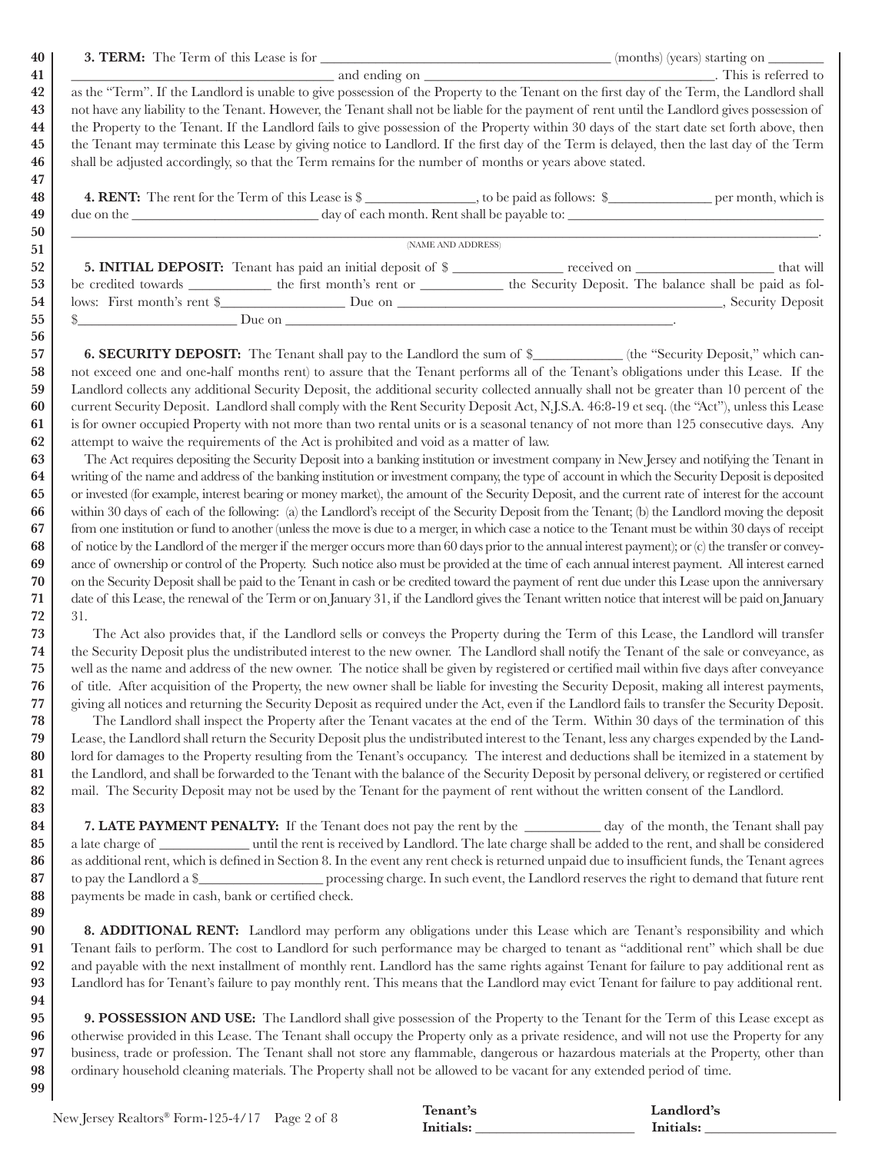| as the "Term". If the Landlord is unable to give possession of the Property to the Tenant on the first day of the Term, the Landlord shall                                                                                                                                                             |                    |
|--------------------------------------------------------------------------------------------------------------------------------------------------------------------------------------------------------------------------------------------------------------------------------------------------------|--------------------|
| not have any liability to the Tenant. However, the Tenant shall not be liable for the payment of rent until the Landlord gives possession of                                                                                                                                                           |                    |
| the Property to the Tenant. If the Landlord fails to give possession of the Property within 30 days of the start date set forth above, then                                                                                                                                                            |                    |
| the Tenant may terminate this Lease by giving notice to Landlord. If the first day of the Term is delayed, then the last day of the Term                                                                                                                                                               |                    |
| shall be adjusted accordingly, so that the Term remains for the number of months or years above stated.                                                                                                                                                                                                |                    |
|                                                                                                                                                                                                                                                                                                        |                    |
| <b>4. RENT:</b> The rent for the Term of this Lease is \$                                                                                                                                                                                                                                              |                    |
|                                                                                                                                                                                                                                                                                                        |                    |
|                                                                                                                                                                                                                                                                                                        |                    |
|                                                                                                                                                                                                                                                                                                        | (NAME AND ADDRESS) |
| 5. INITIAL DEPOSIT: Tenant has paid an initial deposit of \$______________ received on _________________ that will                                                                                                                                                                                     |                    |
| be credited towards ___________ the first month's rent or ____________ the Security Deposit. The balance shall be paid as fol-                                                                                                                                                                         |                    |
|                                                                                                                                                                                                                                                                                                        |                    |
|                                                                                                                                                                                                                                                                                                        |                    |
| 6. SECURITY DEPOSIT: The Tenant shall pay to the Landlord the sum of \$__________(the "Security Deposit," which can-<br>not exceed one and one-half months rent) to assure that the Tenant performs all of the Tenant's obligations under this Lease. If the                                           |                    |
|                                                                                                                                                                                                                                                                                                        |                    |
| Landlord collects any additional Security Deposit, the additional security collected annually shall not be greater than 10 percent of the                                                                                                                                                              |                    |
| current Security Deposit. Landlord shall comply with the Rent Security Deposit Act, N.J.S.A. 46:8-19 et seq. (the "Act"), unless this Lease                                                                                                                                                            |                    |
| is for owner occupied Property with not more than two rental units or is a seasonal tenancy of not more than 125 consecutive days. Any                                                                                                                                                                 |                    |
| attempt to waive the requirements of the Act is prohibited and void as a matter of law.                                                                                                                                                                                                                |                    |
| The Act requires depositing the Security Deposit into a banking institution or investment company in New Jersey and notifying the Tenant in                                                                                                                                                            |                    |
| writing of the name and address of the banking institution or investment company, the type of account in which the Security Deposit is deposited                                                                                                                                                       |                    |
| or invested (for example, interest bearing or money market), the amount of the Security Deposit, and the current rate of interest for the account                                                                                                                                                      |                    |
| within 30 days of each of the following: (a) the Landlord's receipt of the Security Deposit from the Tenant; (b) the Landlord moving the deposit                                                                                                                                                       |                    |
| from one institution or fund to another (unless the move is due to a merger, in which case a notice to the Tenant must be within 30 days of receipt                                                                                                                                                    |                    |
| of notice by the Landlord of the merger if the merger occurs more than 60 days prior to the annual interest payment); or (c) the transfer or convey-                                                                                                                                                   |                    |
| ance of ownership or control of the Property. Such notice also must be provided at the time of each annual interest payment. All interest earned                                                                                                                                                       |                    |
| on the Security Deposit shall be paid to the Tenant in cash or be credited toward the payment of rent due under this Lease upon the anniversary<br>date of this Lease, the renewal of the Term or on January 31, if the Landlord gives the Tenant written notice that interest will be paid on January |                    |
|                                                                                                                                                                                                                                                                                                        |                    |

The Act also provides that, if the Landlord sells or conveys the Property during the Term of this Lease, the Landlord will transfer the Security Deposit plus the undistributed interest to the new owner. The Landlord shall notify the Tenant of the sale or conveyance, as well as the name and address of the new owner. The notice shall be given by registered or certified mail within five days after conveyance of title. After acquisition of the Property, the new owner shall be liable for investing the Security Deposit, making all interest payments, giving all notices and returning the Security Deposit as required under the Act, even if the Landlord fails to transfer the Security Deposit.

The Landlord shall inspect the Property after the Tenant vacates at the end of the Term. Within 30 days of the termination of this Lease, the Landlord shall return the Security Deposit plus the undistributed interest to the Tenant, less any charges expended by the Landlord for damages to the Property resulting from the Tenant's occupancy. The interest and deductions shall be itemized in a statement by the Landlord, and shall be forwarded to the Tenant with the balance of the Security Deposit by personal delivery, or registered or certified mail. The Security Deposit may not be used by the Tenant for the payment of rent without the written consent of the Landlord.

**7. LATE PAYMENT PENALTY:** If the Tenant does not pay the rent by the \_\_\_\_\_\_\_\_\_\_\_ day of the month, the Tenant shall pay a late charge of \_\_\_\_\_\_\_\_\_\_\_\_\_ until the rent is received by Landlord. The late charge shall be added to the rent, and shall be considered as additional rent, which is defined in Section 8. In the event any rent check is returned unpaid due to insufficient funds, the Tenant agrees to pay the Landlord a \$\_\_\_\_\_\_\_\_\_\_\_\_\_\_\_\_\_\_ processing charge. In such event, the Landlord reserves the right to demand that future rent payments be made in cash, bank or certified check.

**8. ADDITIONAL RENT:** Landlord may perform any obligations under this Lease which are Tenant's responsibility and which Tenant fails to perform. The cost to Landlord for such performance may be charged to tenant as "additional rent" which shall be due and payable with the next installment of monthly rent. Landlord has the same rights against Tenant for failure to pay additional rent as Landlord has for Tenant's failure to pay monthly rent. This means that the Landlord may evict Tenant for failure to pay additional rent.

**9. POSSESSION AND USE:** The Landlord shall give possession of the Property to the Tenant for the Term of this Lease except as otherwise provided in this Lease. The Tenant shall occupy the Property only as a private residence, and will not use the Property for any business, trade or profession. The Tenant shall not store any flammable, dangerous or hazardous materials at the Property, other than ordinary household cleaning materials. The Property shall not be allowed to be vacant for any extended period of time.

31.

New Jersey Realtors<sup>®</sup> Form-125-4/17 Page 2 of 8 **Tenant's** Landlord's Landlord's Landlord's Landlord's Landlord's Landlord's Landlord's Landlord's Landlord's Landlord's Landlord's Landlord's Landlord's Landlord's Landlord

**Initials: \_\_\_\_\_\_\_\_\_\_\_\_\_\_\_\_\_\_\_\_\_\_\_ Initials: \_\_\_\_\_\_\_\_\_\_\_\_\_\_\_\_\_\_\_**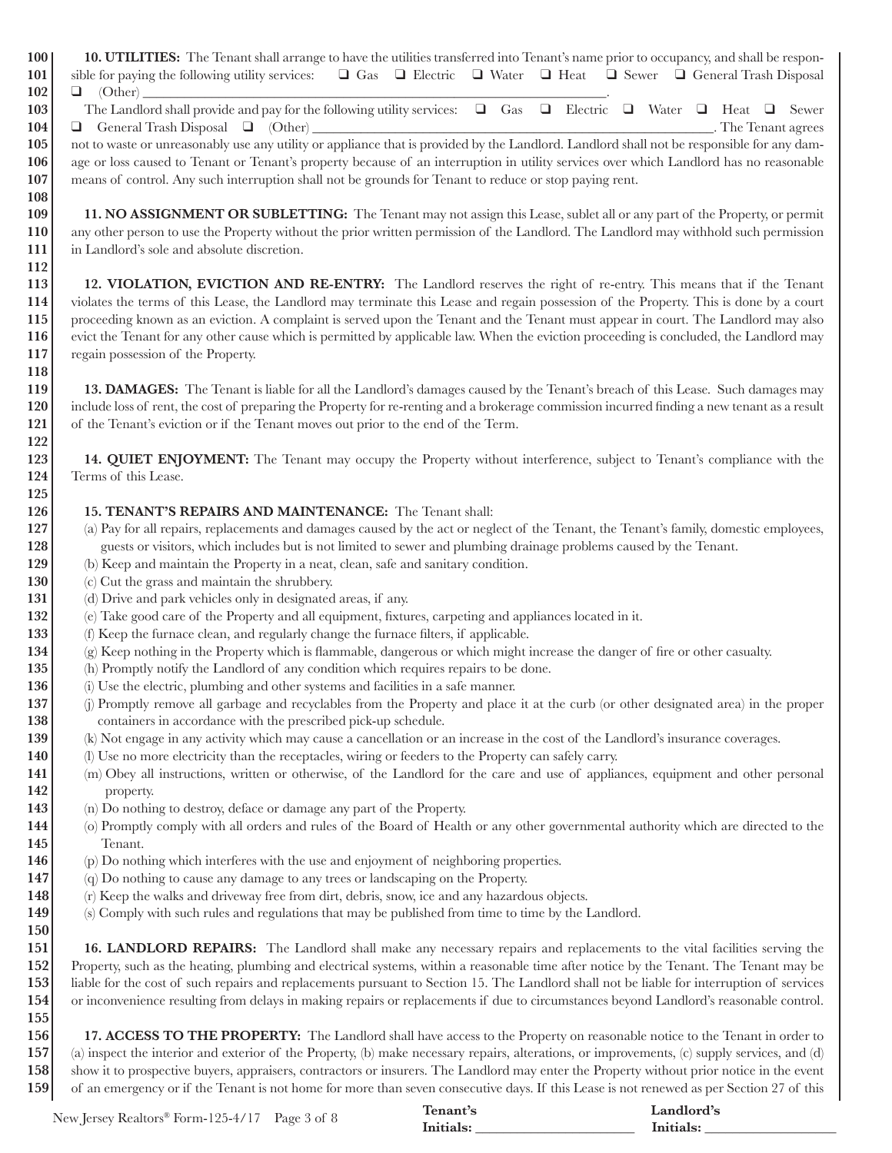| 100 | 10. UTILITIES: The Tenant shall arrange to have the utilities transferred into Tenant's name prior to occupancy, and shall be respon-                 |  |  |  |
|-----|-------------------------------------------------------------------------------------------------------------------------------------------------------|--|--|--|
|     | 101   sible for paying the following utility services: $\Box$ Gas $\Box$ Electric $\Box$ Water $\Box$ Heat $\Box$ Sewer $\Box$ General Trash Disposal |  |  |  |
|     | $102$ $\Box$ (Other)                                                                                                                                  |  |  |  |

**103 104** The Landlord shall provide and pay for the following utility services:  $\Box$  Gas  $\Box$  Electric  $\Box$  Water  $\Box$  Heat  $\Box$  Sewer q General Trash Disposal q (Other) \_\_\_\_\_\_\_\_\_\_\_\_\_\_\_\_\_\_\_\_\_\_\_\_\_\_\_\_\_\_\_\_\_\_\_\_\_\_\_\_\_\_\_\_\_\_\_\_\_\_\_\_\_\_\_\_\_\_. The Tenant agrees

**105 106 107** not to waste or unreasonably use any utility or appliance that is provided by the Landlord. Landlord shall not be responsible for any damage or loss caused to Tenant or Tenant's property because of an interruption in utility services over which Landlord has no reasonable means of control. Any such interruption shall not be grounds for Tenant to reduce or stop paying rent.

**11. NO ASSIGNMENT OR SUBLETTING:** The Tenant may not assign this Lease, sublet all or any part of the Property, or permit any other person to use the Property without the prior written permission of the Landlord. The Landlord may withhold such permission in Landlord's sole and absolute discretion.

**113 114 115 116 117 12. VIOLATION, EVICTION AND RE-ENTRY:** The Landlord reserves the right of re-entry. This means that if the Tenant violates the terms of this Lease, the Landlord may terminate this Lease and regain possession of the Property. This is done by a court proceeding known as an eviction. A complaint is served upon the Tenant and the Tenant must appear in court. The Landlord may also evict the Tenant for any other cause which is permitted by applicable law. When the eviction proceeding is concluded, the Landlord may regain possession of the Property.

**119 120 121 13. DAMAGES:** The Tenant is liable for all the Landlord's damages caused by the Tenant's breach of this Lease. Such damages may include loss of rent, the cost of preparing the Property for re-renting and a brokerage commission incurred finding a new tenant as a result of the Tenant's eviction or if the Tenant moves out prior to the end of the Term.

**123 124 14. QUIET ENJOYMENT:** The Tenant may occupy the Property without interference, subject to Tenant's compliance with the Terms of this Lease.

#### **126 15. TENANT'S REPAIRS AND MAINTENANCE:** The Tenant shall:

- **127 128** (a) Pay for all repairs, replacements and damages caused by the act or neglect of the Tenant, the Tenant's family, domestic employees, guests or visitors, which includes but is not limited to sewer and plumbing drainage problems caused by the Tenant.
- **129** (b) Keep and maintain the Property in a neat, clean, safe and sanitary condition.
- **130** (c) Cut the grass and maintain the shrubbery.
- **131** (d) Drive and park vehicles only in designated areas, if any.
- **132** (e) Take good care of the Property and all equipment, fixtures, carpeting and appliances located in it.
- **133** (f) Keep the furnace clean, and regularly change the furnace filters, if applicable.
- **134** (g) Keep nothing in the Property which is flammable, dangerous or which might increase the danger of fire or other casualty.
- **135** (h) Promptly notify the Landlord of any condition which requires repairs to be done.
- **136** (i) Use the electric, plumbing and other systems and facilities in a safe manner.
- **137 138** (j) Promptly remove all garbage and recyclables from the Property and place it at the curb (or other designated area) in the proper containers in accordance with the prescribed pick-up schedule.
- **139** (k) Not engage in any activity which may cause a cancellation or an increase in the cost of the Landlord's insurance coverages.
- **140** (l) Use no more electricity than the receptacles, wiring or feeders to the Property can safely carry.
- **141 142** (m) Obey all instructions, written or otherwise, of the Landlord for the care and use of appliances, equipment and other personal property.
- **143** (n) Do nothing to destroy, deface or damage any part of the Property.
- **144 145** (o) Promptly comply with all orders and rules of the Board of Health or any other governmental authority which are directed to the Tenant.
- **146** (p) Do nothing which interferes with the use and enjoyment of neighboring properties.
- **147** (q) Do nothing to cause any damage to any trees or landscaping on the Property.
- **148** (r) Keep the walks and driveway free from dirt, debris, snow, ice and any hazardous objects.
- **149 150** (s) Comply with such rules and regulations that may be published from time to time by the Landlord.

**151 152 153 154 16. LANDLORD REPAIRS:** The Landlord shall make any necessary repairs and replacements to the vital facilities serving the Property, such as the heating, plumbing and electrical systems, within a reasonable time after notice by the Tenant. The Tenant may be liable for the cost of such repairs and replacements pursuant to Section 15. The Landlord shall not be liable for interruption of services or inconvenience resulting from delays in making repairs or replacements if due to circumstances beyond Landlord's reasonable control.

**155**

**118**

**122**

**125**

**156 157 158 159 17. ACCESS TO THE PROPERTY:** The Landlord shall have access to the Property on reasonable notice to the Tenant in order to (a) inspect the interior and exterior of the Property, (b) make necessary repairs, alterations, or improvements, (c) supply services, and (d) show it to prospective buyers, appraisers, contractors or insurers. The Landlord may enter the Property without prior notice in the event of an emergency or if the Tenant is not home for more than seven consecutive days. If this Lease is not renewed as per Section 27 of this

**Initials: \_\_\_\_\_\_\_\_\_\_\_\_\_\_\_\_\_\_\_\_\_\_\_ Initials: \_\_\_\_\_\_\_\_\_\_\_\_\_\_\_\_\_\_\_**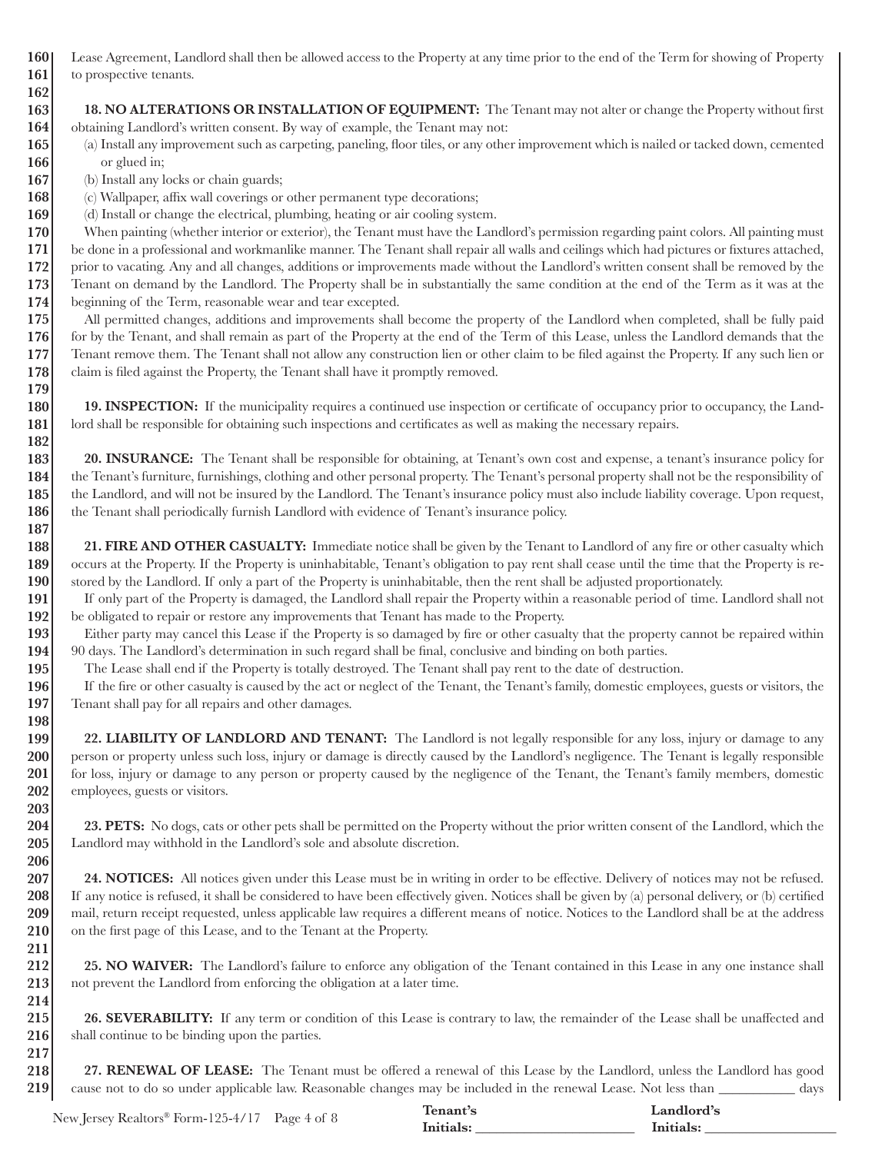**160 161** Lease Agreement, Landlord shall then be allowed access to the Property at any time prior to the end of the Term for showing of Property to prospective tenants.

**163 164 18. NO ALTERATIONS OR INSTALLATION OF EQUIPMENT:** The Tenant may not alter or change the Property without first obtaining Landlord's written consent. By way of example, the Tenant may not:

- **165 166** (a) Install any improvement such as carpeting, paneling, floor tiles, or any other improvement which is nailed or tacked down, cemented or glued in;
- **167** (b) Install any locks or chain guards;

**162**

**179**

**182**

**195**

**206**

**211**

- **168** (c) Wallpaper, affix wall coverings or other permanent type decorations;
- **169** (d) Install or change the electrical, plumbing, heating or air cooling system.

**170 171 172 173 174** When painting (whether interior or exterior), the Tenant must have the Landlord's permission regarding paint colors. All painting must be done in a professional and workmanlike manner. The Tenant shall repair all walls and ceilings which had pictures or fixtures attached, prior to vacating. Any and all changes, additions or improvements made without the Landlord's written consent shall be removed by the Tenant on demand by the Landlord. The Property shall be in substantially the same condition at the end of the Term as it was at the beginning of the Term, reasonable wear and tear excepted.

**175 176 177 178** All permitted changes, additions and improvements shall become the property of the Landlord when completed, shall be fully paid for by the Tenant, and shall remain as part of the Property at the end of the Term of this Lease, unless the Landlord demands that the Tenant remove them. The Tenant shall not allow any construction lien or other claim to be filed against the Property. If any such lien or claim is filed against the Property, the Tenant shall have it promptly removed.

**180 181 19. INSPECTION:** If the municipality requires a continued use inspection or certificate of occupancy prior to occupancy, the Landlord shall be responsible for obtaining such inspections and certificates as well as making the necessary repairs.

**183 184 185 186 187 20. INSURANCE:** The Tenant shall be responsible for obtaining, at Tenant's own cost and expense, a tenant's insurance policy for the Tenant's furniture, furnishings, clothing and other personal property. The Tenant's personal property shall not be the responsibility of the Landlord, and will not be insured by the Landlord. The Tenant's insurance policy must also include liability coverage. Upon request, the Tenant shall periodically furnish Landlord with evidence of Tenant's insurance policy.

**188 189 190 21. FIRE AND OTHER CASUALTY:** Immediate notice shall be given by the Tenant to Landlord of any fire or other casualty which occurs at the Property. If the Property is uninhabitable, Tenant's obligation to pay rent shall cease until the time that the Property is restored by the Landlord. If only a part of the Property is uninhabitable, then the rent shall be adjusted proportionately.

**191 192** If only part of the Property is damaged, the Landlord shall repair the Property within a reasonable period of time. Landlord shall not be obligated to repair or restore any improvements that Tenant has made to the Property.

**193 194** Either party may cancel this Lease if the Property is so damaged by fire or other casualty that the property cannot be repaired within 90 days. The Landlord's determination in such regard shall be final, conclusive and binding on both parties.

The Lease shall end if the Property is totally destroyed. The Tenant shall pay rent to the date of destruction.

**196 197 198** If the fire or other casualty is caused by the act or neglect of the Tenant, the Tenant's family, domestic employees, guests or visitors, the Tenant shall pay for all repairs and other damages.

**199 200 201 202 203 22. LIABILITY OF LANDLORD AND TENANT:** The Landlord is not legally responsible for any loss, injury or damage to any person or property unless such loss, injury or damage is directly caused by the Landlord's negligence. The Tenant is legally responsible for loss, injury or damage to any person or property caused by the negligence of the Tenant, the Tenant's family members, domestic employees, guests or visitors.

**204 205 23. PETS:** No dogs, cats or other pets shall be permitted on the Property without the prior written consent of the Landlord, which the Landlord may withhold in the Landlord's sole and absolute discretion.

**207 208 209 210 24. NOTICES:** All notices given under this Lease must be in writing in order to be effective. Delivery of notices may not be refused. If any notice is refused, it shall be considered to have been effectively given. Notices shall be given by (a) personal delivery, or (b) certified mail, return receipt requested, unless applicable law requires a different means of notice. Notices to the Landlord shall be at the address on the first page of this Lease, and to the Tenant at the Property.

**212 213 214 25. NO WAIVER:** The Landlord's failure to enforce any obligation of the Tenant contained in this Lease in any one instance shall not prevent the Landlord from enforcing the obligation at a later time.

**215 216 217 26. SEVERABILITY:** If any term or condition of this Lease is contrary to law, the remainder of the Lease shall be unaffected and shall continue to be binding upon the parties.

**218 219 27. RENEWAL OF LEASE:** The Tenant must be offered a renewal of this Lease by the Landlord, unless the Landlord has good cause not to do so under applicable law. Reasonable changes may be included in the renewal Lease. Not less than \_\_\_\_\_\_\_\_\_\_\_ days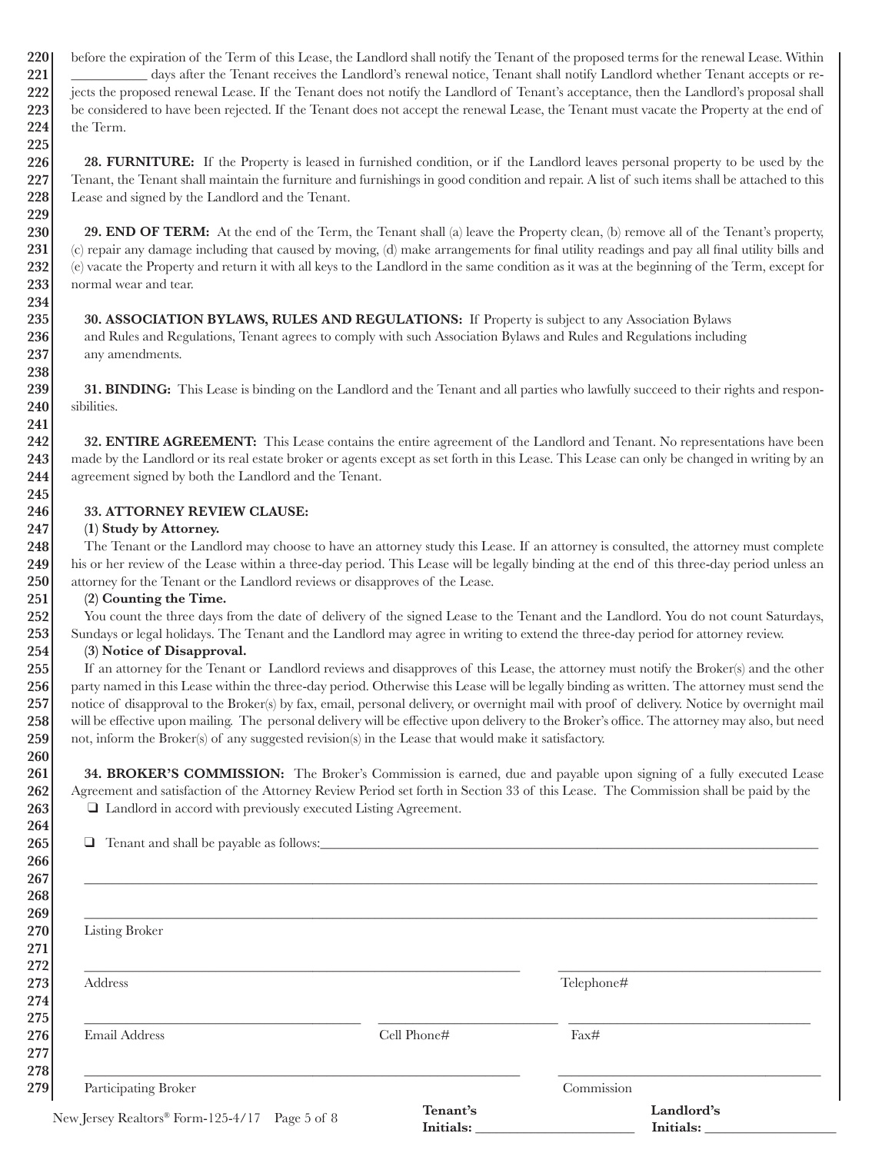**220 221 222 223 224 225** before the expiration of the Term of this Lease, the Landlord shall notify the Tenant of the proposed terms for the renewal Lease. Within \_\_\_\_\_\_\_\_\_\_\_ days after the Tenant receives the Landlord's renewal notice, Tenant shall notify Landlord whether Tenant accepts or rejects the proposed renewal Lease. If the Tenant does not notify the Landlord of Tenant's acceptance, then the Landlord's proposal shall be considered to have been rejected. If the Tenant does not accept the renewal Lease, the Tenant must vacate the Property at the end of the Term.

**28. FURNITURE:** If the Property is leased in furnished condition, or if the Landlord leaves personal property to be used by the Tenant, the Tenant shall maintain the furniture and furnishings in good condition and repair. A list of such items shall be attached to this Lease and signed by the Landlord and the Tenant.

**29. END OF TERM:** At the end of the Term, the Tenant shall (a) leave the Property clean, (b) remove all of the Tenant's property, (c) repair any damage including that caused by moving, (d) make arrangements for final utility readings and pay all final utility bills and (e) vacate the Property and return it with all keys to the Landlord in the same condition as it was at the beginning of the Term, except for normal wear and tear.

**30. ASSOCIATION BYLAWS, RULES AND REGULATIONS:** If Property is subject to any Association Bylaws and Rules and Regulations, Tenant agrees to comply with such Association Bylaws and Rules and Regulations including any amendments.

**31. BINDING:** This Lease is binding on the Landlord and the Tenant and all parties who lawfully succeed to their rights and responsibilities.

**32. ENTIRE AGREEMENT:** This Lease contains the entire agreement of the Landlord and Tenant. No representations have been made by the Landlord or its real estate broker or agents except as set forth in this Lease. This Lease can only be changed in writing by an agreement signed by both the Landlord and the Tenant.

### **33. ATTORNEY REVIEW CLAUSE:**

### **(1) Study by Attorney.**

**260**

**264**

**248 249 250** The Tenant or the Landlord may choose to have an attorney study this Lease. If an attorney is consulted, the attorney must complete his or her review of the Lease within a three-day period. This Lease will be legally binding at the end of this three-day period unless an attorney for the Tenant or the Landlord reviews or disapproves of the Lease.

#### **251 (2) Counting the Time.**

**252 253 254** You count the three days from the date of delivery of the signed Lease to the Tenant and the Landlord. You do not count Saturdays, Sundays or legal holidays. The Tenant and the Landlord may agree in writing to extend the three-day period for attorney review.

#### **(3) Notice of Disapproval.**

**255 256 257 258 259** If an attorney for the Tenant or Landlord reviews and disapproves of this Lease, the attorney must notify the Broker(s) and the other party named in this Lease within the three-day period. Otherwise this Lease will be legally binding as written. The attorney must send the notice of disapproval to the Broker(s) by fax, email, personal delivery, or overnight mail with proof of delivery. Notice by overnight mail will be effective upon mailing. The personal delivery will be effective upon delivery to the Broker's office. The attorney may also, but need not, inform the Broker(s) of any suggested revision(s) in the Lease that would make it satisfactory.

**261 262 263 34. BROKER'S COMMISSION:** The Broker's Commission is earned, due and payable upon signing of a fully executed Lease Agreement and satisfaction of the Attorney Review Period set forth in Section 33 of this Lease. The Commission shall be paid by the  $\Box$  Landlord in accord with previously executed Listing Agreement.

| <b>Listing Broker</b> |             |            |
|-----------------------|-------------|------------|
|                       |             |            |
| Address               |             | Telephone# |
|                       |             |            |
| Email Address         | Cell Phone# | Fax#       |
|                       |             |            |
| Participating Broker  |             | Commission |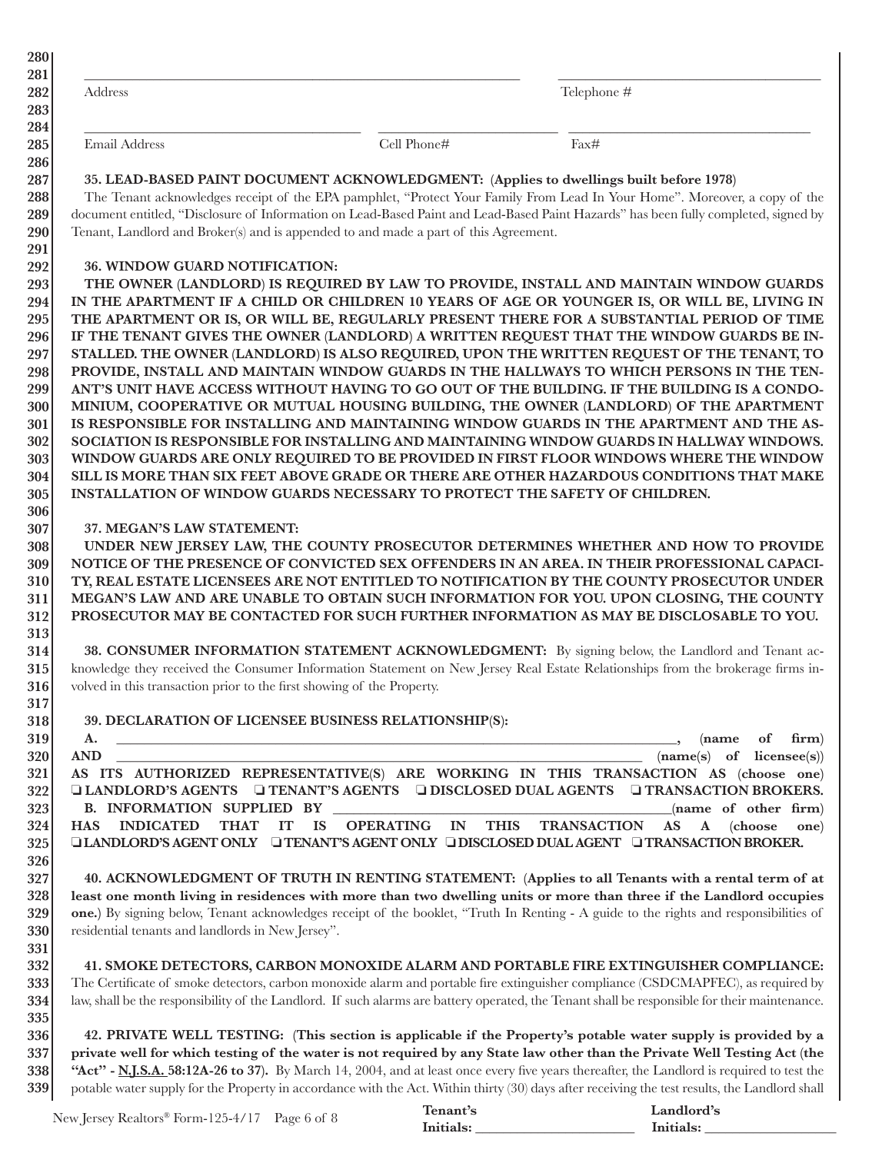| Address                                                                                                                                                                                                                                                                                                                                                                                                                                                                                                                                   |                                                                                                                                       | Telephone #      |                                                                |
|-------------------------------------------------------------------------------------------------------------------------------------------------------------------------------------------------------------------------------------------------------------------------------------------------------------------------------------------------------------------------------------------------------------------------------------------------------------------------------------------------------------------------------------------|---------------------------------------------------------------------------------------------------------------------------------------|------------------|----------------------------------------------------------------|
| Email Address                                                                                                                                                                                                                                                                                                                                                                                                                                                                                                                             | Cell Phone#                                                                                                                           | Fax#             |                                                                |
| 35. LEAD-BASED PAINT DOCUMENT ACKNOWLEDGMENT: (Applies to dwellings built before 1978)<br>The Tenant acknowledges receipt of the EPA pamphlet, "Protect Your Family From Lead In Your Home". Moreover, a copy of the<br>document entitled, "Disclosure of Information on Lead-Based Paint and Lead-Based Paint Hazards" has been fully completed, signed by<br>Tenant, Landlord and Broker(s) and is appended to and made a part of this Agreement.                                                                                       |                                                                                                                                       |                  |                                                                |
| 36. WINDOW GUARD NOTIFICATION:                                                                                                                                                                                                                                                                                                                                                                                                                                                                                                            |                                                                                                                                       |                  |                                                                |
| THE OWNER (LANDLORD) IS REQUIRED BY LAW TO PROVIDE, INSTALL AND MAINTAIN WINDOW GUARDS<br>IN THE APARTMENT IF A CHILD OR CHILDREN 10 YEARS OF AGE OR YOUNGER IS, OR WILL BE, LIVING IN<br>THE APARTMENT OR IS, OR WILL BE, REGULARLY PRESENT THERE FOR A SUBSTANTIAL PERIOD OF TIME<br>IF THE TENANT GIVES THE OWNER (LANDLORD) A WRITTEN REQUEST THAT THE WINDOW GUARDS BE IN-                                                                                                                                                           |                                                                                                                                       |                  |                                                                |
| STALLED. THE OWNER (LANDLORD) IS ALSO REQUIRED, UPON THE WRITTEN REQUEST OF THE TENANT, TO<br>PROVIDE, INSTALL AND MAINTAIN WINDOW GUARDS IN THE HALLWAYS TO WHICH PERSONS IN THE TEN-<br>ANT'S UNIT HAVE ACCESS WITHOUT HAVING TO GO OUT OF THE BUILDING. IF THE BUILDING IS A CONDO-<br>MINIUM, COOPERATIVE OR MUTUAL HOUSING BUILDING, THE OWNER (LANDLORD) OF THE APARTMENT                                                                                                                                                           |                                                                                                                                       |                  |                                                                |
| IS RESPONSIBLE FOR INSTALLING AND MAINTAINING WINDOW GUARDS IN THE APARTMENT AND THE AS-<br>SOCIATION IS RESPONSIBLE FOR INSTALLING AND MAINTAINING WINDOW GUARDS IN HALLWAY WINDOWS.<br>WINDOW GUARDS ARE ONLY REQUIRED TO BE PROVIDED IN FIRST FLOOR WINDOWS WHERE THE WINDOW                                                                                                                                                                                                                                                           |                                                                                                                                       |                  |                                                                |
| SILL IS MORE THAN SIX FEET ABOVE GRADE OR THERE ARE OTHER HAZARDOUS CONDITIONS THAT MAKE<br>INSTALLATION OF WINDOW GUARDS NECESSARY TO PROTECT THE SAFETY OF CHILDREN.                                                                                                                                                                                                                                                                                                                                                                    |                                                                                                                                       |                  |                                                                |
| 37. MEGAN'S LAW STATEMENT:<br>UNDER NEW JERSEY LAW, THE COUNTY PROSECUTOR DETERMINES WHETHER AND HOW TO PROVIDE<br>NOTICE OF THE PRESENCE OF CONVICTED SEX OFFENDERS IN AN AREA. IN THEIR PROFESSIONAL CAPACI-                                                                                                                                                                                                                                                                                                                            |                                                                                                                                       |                  |                                                                |
| TY, REAL ESTATE LICENSEES ARE NOT ENTITLED TO NOTIFICATION BY THE COUNTY PROSECUTOR UNDER<br>MEGAN'S LAW AND ARE UNABLE TO OBTAIN SUCH INFORMATION FOR YOU. UPON CLOSING, THE COUNTY<br>PROSECUTOR MAY BE CONTACTED FOR SUCH FURTHER INFORMATION AS MAY BE DISCLOSABLE TO YOU.                                                                                                                                                                                                                                                            |                                                                                                                                       |                  |                                                                |
| 38. CONSUMER INFORMATION STATEMENT ACKNOWLEDGMENT: By signing below, the Landlord and Tenant ac-<br>knowledge they received the Consumer Information Statement on New Jersey Real Estate Relationships from the brokerage firms in-                                                                                                                                                                                                                                                                                                       |                                                                                                                                       |                  |                                                                |
| volved in this transaction prior to the first showing of the Property.                                                                                                                                                                                                                                                                                                                                                                                                                                                                    |                                                                                                                                       |                  |                                                                |
| 39. DECLARATION OF LICENSEE BUSINESS RELATIONSHIP(S):                                                                                                                                                                                                                                                                                                                                                                                                                                                                                     |                                                                                                                                       |                  |                                                                |
| A.<br><b>AND</b><br>AS ITS AUTHORIZED REPRESENTATIVE(S) ARE WORKING IN THIS TRANSACTION AS (choose one)<br>□ LANDLORD'S AGENTS               TENANT'S AGENTS            DISCLOSED DUAL AGENTS            TRANSACTION BROKERS.                                                                                                                                                                                                                                                                                                             |                                                                                                                                       |                  | $\mathbf{firm})$<br>of<br>(name)<br>$(name(s)$ of licensee(s)) |
| <b>B. INFORMATION SUPPLIED BY</b><br>THAT IT IS<br><b>HAS</b><br><b>INDICATED</b><br>□LANDLORD'S AGENT ONLY □ TENANT'S AGENT ONLY □ DISCLOSED DUAL AGENT □ TRANSACTION BROKER.                                                                                                                                                                                                                                                                                                                                                            | <u> 1989 - Johann Barn, mars and de Branch Barn, mars and de Branch Barn, mars and de Branch Barn, mars and de Br</u><br>OPERATING IN | THIS TRANSACTION | (name of other firm)<br>AS<br>$\mathbf A$<br>(choose)<br>one)  |
| 40. ACKNOWLEDGMENT OF TRUTH IN RENTING STATEMENT: (Applies to all Tenants with a rental term of at                                                                                                                                                                                                                                                                                                                                                                                                                                        |                                                                                                                                       |                  |                                                                |
| least one month living in residences with more than two dwelling units or more than three if the Landlord occupies<br>one.) By signing below, Tenant acknowledges receipt of the booklet, "Truth In Renting - A guide to the rights and responsibilities of<br>residential tenants and landlords in New Jersey".                                                                                                                                                                                                                          |                                                                                                                                       |                  |                                                                |
| 41. SMOKE DETECTORS, CARBON MONOXIDE ALARM AND PORTABLE FIRE EXTINGUISHER COMPLIANCE:<br>The Certificate of smoke detectors, carbon monoxide alarm and portable fire extinguisher compliance (CSDCMAPFEC), as required by<br>law, shall be the responsibility of the Landlord. If such alarms are battery operated, the Tenant shall be responsible for their maintenance.                                                                                                                                                                |                                                                                                                                       |                  |                                                                |
| 42. PRIVATE WELL TESTING: (This section is applicable if the Property's potable water supply is provided by a<br>private well for which testing of the water is not required by any State law other than the Private Well Testing Act (the<br>"Act" - N.J.S.A. 58:12A-26 to 37). By March 14, 2004, and at least once every five years thereafter, the Landlord is required to test the<br>potable water supply for the Property in accordance with the Act. Within thirty (30) days after receiving the test results, the Landlord shall |                                                                                                                                       |                  |                                                                |
| New Jersey Realtors® Form-125-4/17 Page 6 of 8                                                                                                                                                                                                                                                                                                                                                                                                                                                                                            | Initials:                                                                                                                             | Tenant's         | Landlord's<br>Initials:                                        |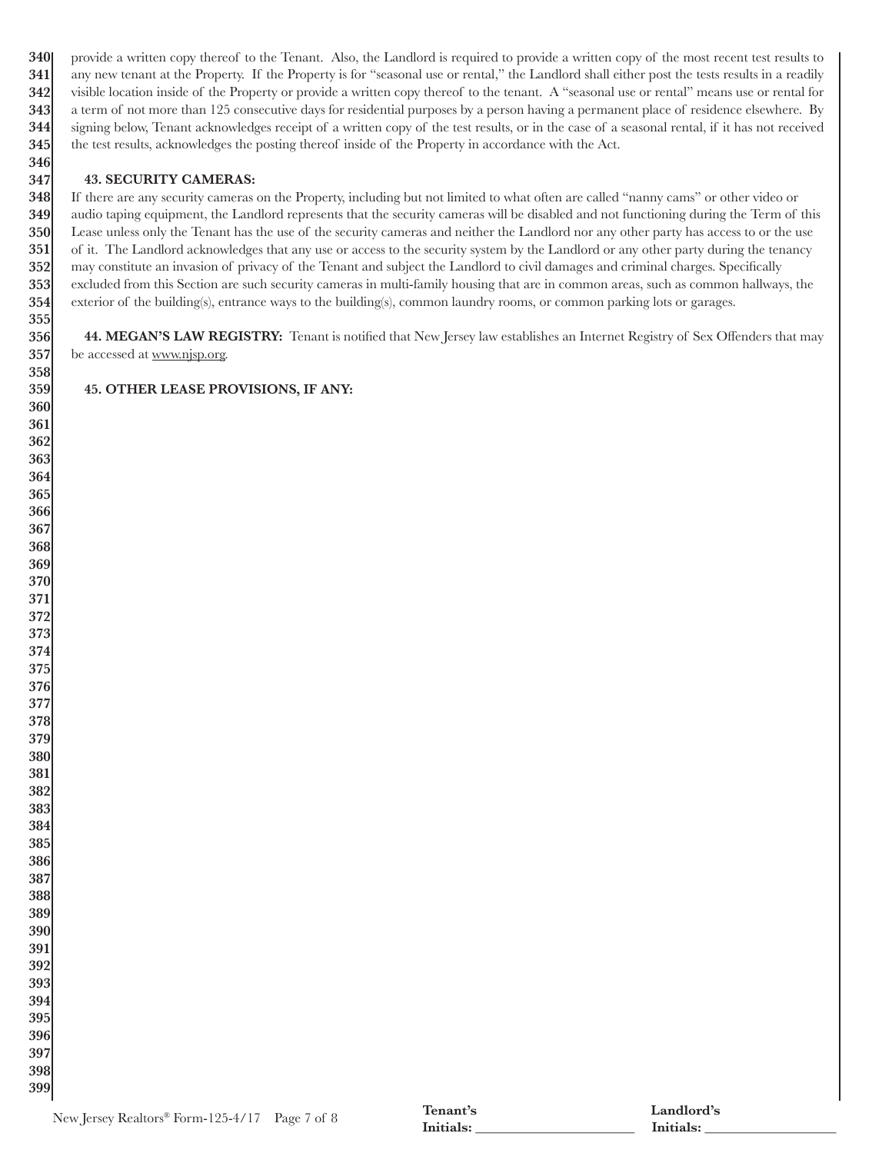provide a written copy thereof to the Tenant. Also, the Landlord is required to provide a written copy of the most recent test results to any new tenant at the Property. If the Property is for "seasonal use or rental," the Landlord shall either post the tests results in a readily visible location inside of the Property or provide a written copy thereof to the tenant. A "seasonal use or rental" means use or rental for a term of not more than 125 consecutive days for residential purposes by a person having a permanent place of residence elsewhere. By signing below, Tenant acknowledges receipt of a written copy of the test results, or in the case of a seasonal rental, if it has not received the test results, acknowledges the posting thereof inside of the Property in accordance with the Act.

## **43. SECURITY CAMERAS:**

 If there are any security cameras on the Property, including but not limited to what often are called "nanny cams" or other video or audio taping equipment, the Landlord represents that the security cameras will be disabled and not functioning during the Term of this Lease unless only the Tenant has the use of the security cameras and neither the Landlord nor any other party has access to or the use of it. The Landlord acknowledges that any use or access to the security system by the Landlord or any other party during the tenancy may constitute an invasion of privacy of the Tenant and subject the Landlord to civil damages and criminal charges. Specifically excluded from this Section are such security cameras in multi-family housing that are in common areas, such as common hallways, the exterior of the building(s), entrance ways to the building(s), common laundry rooms, or common parking lots or garages.

**44. MEGAN'S LAW REGISTRY:** Tenant is notified that New Jersey law establishes an Internet Registry of Sex Offenders that may be accessed at www.njsp.org.

**45. OTHER LEASE PROVISIONS, IF ANY:**